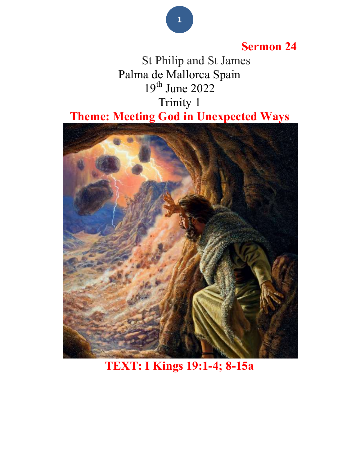### Sermon 24

 St Philip and St James Palma de Mallorca Spain  $19<sup>th</sup>$  June 2022 Trinity 1 Theme: Meeting God in Unexpected Ways



TEXT: I Kings 19:1-4; 8-15a

#### 1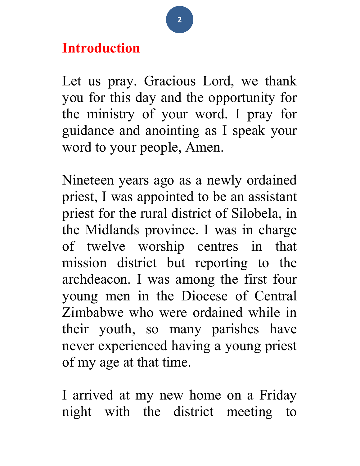# Introduction

Let us pray. Gracious Lord, we thank you for this day and the opportunity for the ministry of your word. I pray for guidance and anointing as I speak your word to your people, Amen.

Nineteen years ago as a newly ordained priest, I was appointed to be an assistant priest for the rural district of Silobela, in the Midlands province. I was in charge of twelve worship centres in that mission district but reporting to the archdeacon. I was among the first four young men in the Diocese of Central Zimbabwe who were ordained while in their youth, so many parishes have never experienced having a young priest of my age at that time.

I arrived at my new home on a Friday night with the district meeting to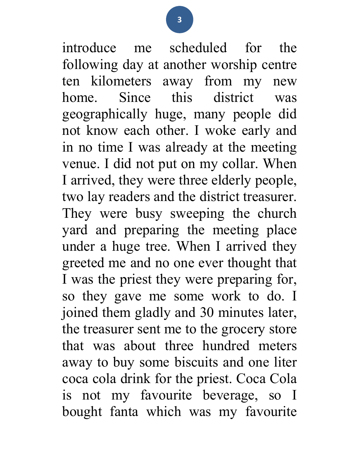introduce me scheduled for the following day at another worship centre ten kilometers away from my new home. Since this district was geographically huge, many people did not know each other. I woke early and in no time I was already at the meeting venue. I did not put on my collar. When I arrived, they were three elderly people, two lay readers and the district treasurer. They were busy sweeping the church yard and preparing the meeting place under a huge tree. When I arrived they greeted me and no one ever thought that I was the priest they were preparing for, so they gave me some work to do. I joined them gladly and 30 minutes later, the treasurer sent me to the grocery store that was about three hundred meters away to buy some biscuits and one liter coca cola drink for the priest. Coca Cola is not my favourite beverage, so I bought fanta which was my favourite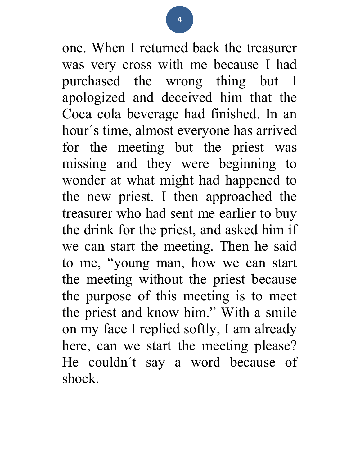one. When I returned back the treasurer was very cross with me because I had purchased the wrong thing but I apologized and deceived him that the Coca cola beverage had finished. In an hour´s time, almost everyone has arrived for the meeting but the priest was missing and they were beginning to wonder at what might had happened to the new priest. I then approached the treasurer who had sent me earlier to buy the drink for the priest, and asked him if we can start the meeting. Then he said to me, "young man, how we can start the meeting without the priest because the purpose of this meeting is to meet the priest and know him." With a smile on my face I replied softly, I am already here, can we start the meeting please? He couldn´t say a word because of shock.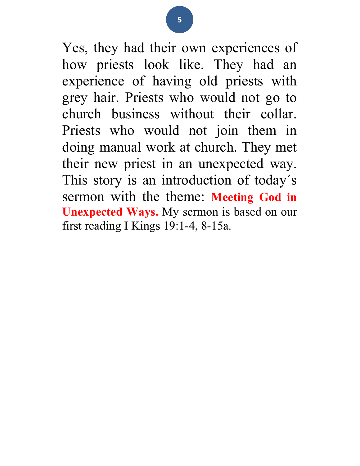Yes, they had their own experiences of how priests look like. They had an experience of having old priests with grey hair. Priests who would not go to church business without their collar. Priests who would not join them in doing manual work at church. They met their new priest in an unexpected way. This story is an introduction of today´s sermon with the theme: Meeting God in Unexpected Ways. My sermon is based on our first reading I Kings 19:1-4, 8-15a.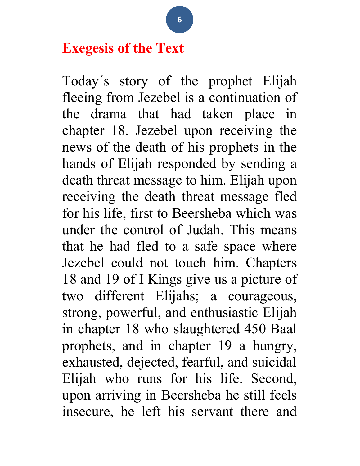# Exegesis of the Text

Today´s story of the prophet Elijah fleeing from Jezebel is a continuation of the drama that had taken place in chapter 18. Jezebel upon receiving the news of the death of his prophets in the hands of Elijah responded by sending a death threat message to him. Elijah upon receiving the death threat message fled for his life, first to Beersheba which was under the control of Judah. This means that he had fled to a safe space where Jezebel could not touch him. Chapters 18 and 19 of I Kings give us a picture of two different Elijahs; a courageous, strong, powerful, and enthusiastic Elijah in chapter 18 who slaughtered 450 Baal prophets, and in chapter 19 a hungry, exhausted, dejected, fearful, and suicidal Elijah who runs for his life. Second, upon arriving in Beersheba he still feels insecure, he left his servant there and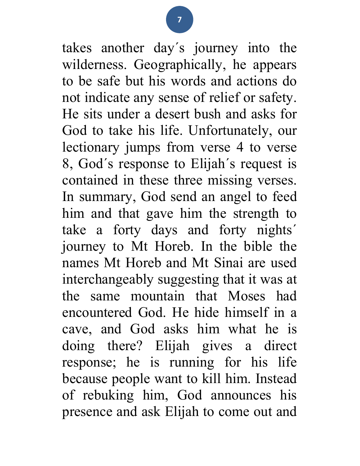takes another day´s journey into the wilderness. Geographically, he appears to be safe but his words and actions do not indicate any sense of relief or safety. He sits under a desert bush and asks for God to take his life. Unfortunately, our lectionary jumps from verse 4 to verse 8, God´s response to Elijah´s request is contained in these three missing verses. In summary, God send an angel to feed him and that gave him the strength to take a forty days and forty nights´ journey to Mt Horeb. In the bible the names Mt Horeb and Mt Sinai are used interchangeably suggesting that it was at the same mountain that Moses had encountered God. He hide himself in a cave, and God asks him what he is doing there? Elijah gives a direct response; he is running for his life because people want to kill him. Instead of rebuking him, God announces his presence and ask Elijah to come out and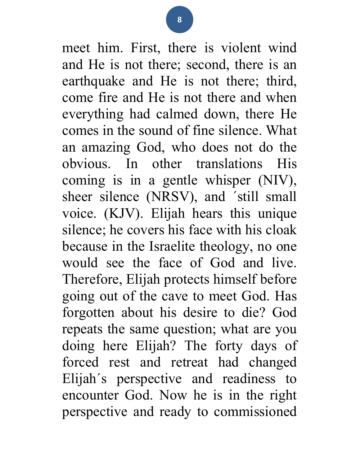meet him. First, there is violent wind and He is not there; second, there is an earthquake and He is not there; third, come fire and He is not there and when everything had calmed down, there He comes in the sound of fine silence. What an amazing God, who does not do the obvious. In other translations His coming is in a gentle whisper (NIV), sheer silence (NRSV), and ´still small voice. (KJV). Elijah hears this unique silence; he covers his face with his cloak because in the Israelite theology, no one would see the face of God and live. Therefore, Elijah protects himself before going out of the cave to meet God. Has forgotten about his desire to die? God repeats the same question; what are you doing here Elijah? The forty days of forced rest and retreat had changed Elijah´s perspective and readiness to encounter God. Now he is in the right perspective and ready to commissioned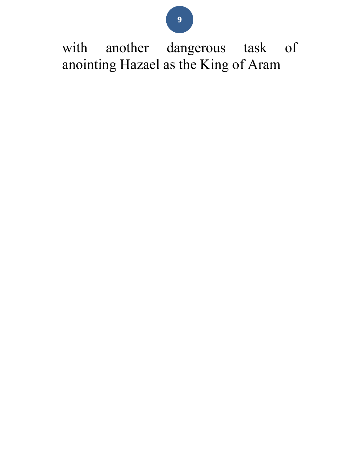9

with another dangerous task of anointing Hazael as the King of Aram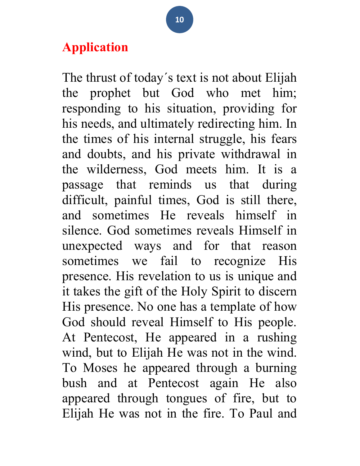## Application

The thrust of today´s text is not about Elijah the prophet but God who met him; responding to his situation, providing for his needs, and ultimately redirecting him. In the times of his internal struggle, his fears and doubts, and his private withdrawal in the wilderness, God meets him. It is a passage that reminds us that during difficult, painful times, God is still there, and sometimes He reveals himself in silence. God sometimes reveals Himself in unexpected ways and for that reason sometimes we fail to recognize His presence. His revelation to us is unique and it takes the gift of the Holy Spirit to discern His presence. No one has a template of how God should reveal Himself to His people. At Pentecost, He appeared in a rushing wind, but to Elijah He was not in the wind. To Moses he appeared through a burning bush and at Pentecost again He also appeared through tongues of fire, but to Elijah He was not in the fire. To Paul and